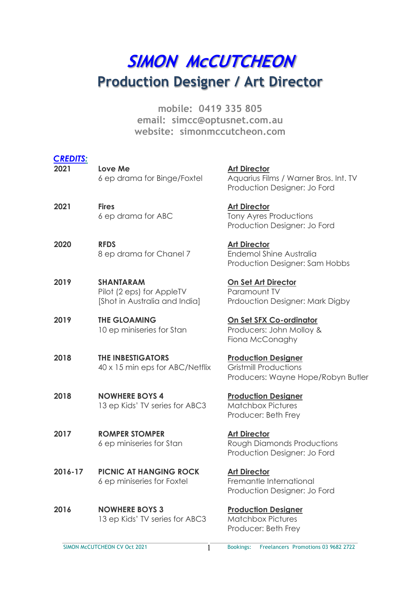# **SIMON MCCUTCHEON Production Designer / Art Director**

**mobile: 0419 335 805 email: simcc@optusnet.com.au website: simonmccutcheon.com**

| <b>CREDITS:</b><br>2021 | Love Me<br>6 ep drama for Binge/Foxtel                                         | <b>Art Director</b><br>Aquarius Films / Warner B<br>Production Designer: Jo         |
|-------------------------|--------------------------------------------------------------------------------|-------------------------------------------------------------------------------------|
| 2021                    | <b>Fires</b><br>6 ep drama for ABC                                             | <b>Art Director</b><br>Tony Ayres Productions<br>Production Designer: Jo            |
| 2020                    | <b>RFDS</b><br>8 ep drama for Chanel 7                                         | <b>Art Director</b><br><b>Endemol Shine Australia</b><br>Production Designer: Sar   |
| 2019                    | <b>SHANTARAM</b><br>Pilot (2 eps) for AppleTV<br>[Shot in Australia and India] | <u>On Set Art Director</u><br>Paramount TV<br>Prdouction Designer: Mo               |
| 2019                    | <b>THE GLOAMING</b><br>10 ep miniseries for Stan                               | On Set SFX Co-ordinator<br>Producers: John Molloy &<br>Fiona McConaghy              |
| 2018                    | <b>THE INBESTIGATORS</b><br>40 x 15 min eps for ABC/Netflix                    | <b>Production Designer</b><br><b>Gristmill Productions</b><br>Producers: Wayne Hope |
| 2018                    | <b>NOWHERE BOYS 4</b><br>13 ep Kids' TV series for ABC3                        | <b>Production Designer</b><br><b>Matchbox Pictures</b><br>Producer: Beth Frey       |
| 2017                    | <b>ROMPER STOMPER</b><br>6 ep miniseries for Stan                              | <b>Art Director</b><br>Rough Diamonds Produc<br>Production Designer: Jo             |
| 2016-17                 | <b>PICNIC AT HANGING ROCK</b><br>6 ep miniseries for Foxtel                    | <b>Art Director</b><br>Fremantle International<br>Production Designer: Jo           |
| 2016                    | <b>NOWHERE BOYS 3</b><br>13 ep Kids' TV series for ABC3                        | <b>Production Designer</b><br><b>Matchbox Pictures</b>                              |

ilms / Warner Bros. Int. TV n Designer: Jo Ford

Productions n Designer: Jo Ford

hine Australia n Designer: Sam Hobbs

1 Designer: Mark Digby

o ductions Wayne Hope/Robyn Butler

monds Productions n Designer: Jo Ford

**International** n Designer: Jo Ford

Pictures Producer: Beth Frey

SIMON McCUTCHEON CV Oct 2021 **Bookings:** Freelancers Promotions 03 9682 2722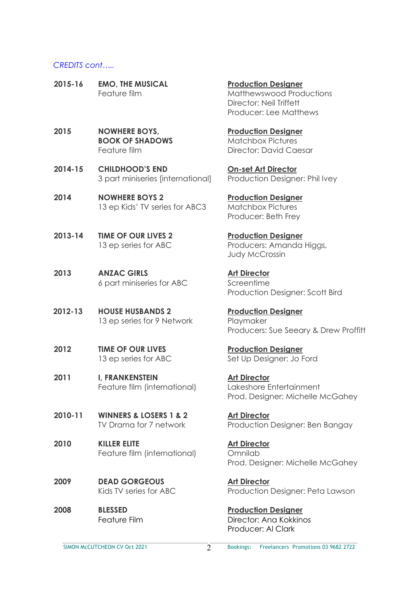#### *CREDITS cont…..*

- **2015-16 EMO, THE MUSICAL Production Designer**
- **2015 NOWHERE BOYS, Production Designer BOOK OF SHADOWS** Matchbox Pictures
- **2014-15 CHILDHOOD'S END On-set Art Director** 3 part miniseries [international] Production Designer: Phil Ivey
- **2014 NOWHERE BOYS 2 Production Designer** 13 ep Kids' TV series for ABC3 Matchbox Pictures
- **2013-14 TIME OF OUR LIVES 2 Production Designer**
- **2013 ANZAC GIRLS Art Director** 6 part miniseries for ABC Screentime
- **2012-13 HOUSE HUSBANDS 2 Production Designer** 13 ep series for 9 Network Playmaker
- **2012 TIME OF OUR LIVES Production Designer**
- **2011 I, FRANKENSTEIN Art Director** Feature film (international) Lakeshore Entertainment
- **2010-11 WINNERS & LOSERS 1 & 2 Art Director**
- **2010 KILLER ELITE Art Director** Feature film (international) Omnilab
- **2009 DEAD GORGEOUS Art Director**
- **2008 BLESSED Production Designer**

Feature film **Matthewswood Productions** Director: Neil Triffett Producer: Lee Matthews

Feature film **Director: David Caesar** 

Producer: Beth Frey

13 ep series for ABC Producers: Amanda Higgs, Judy McCrossin

Production Designer: Scott Bird

Producers: Sue Seeary & Drew Proffitt

13 ep series for ABC Set Up Designer: Jo Ford

Prod. Designer: Michelle McGahey

TV Drama for 7 network Production Designer: Ben Bangay

Prod. Designer: Michelle McGahey

Kids TV series for ABC Production Designer: Peta Lawson

Feature Film **Director:** Ana Kokkinos Producer: Al Clark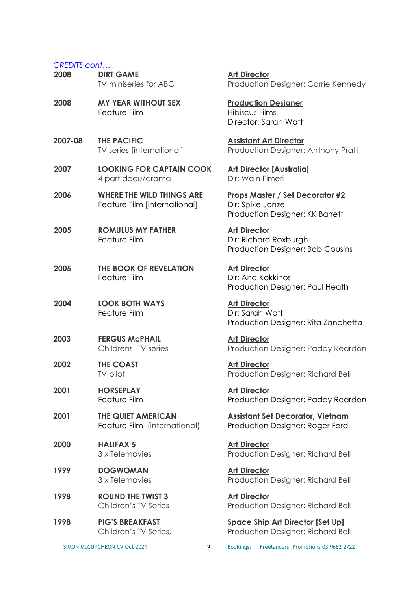#### *CREDITS cont…..*

| יטט טוושבוש<br>2008 | <b>DIRT GAME</b><br>TV miniseries for ABC                 |
|---------------------|-----------------------------------------------------------|
| 2008                | <b>MY YEAR WITHOUT SEX</b><br><b>Feature Film</b>         |
| 2007-08             | <b>THE PACIFIC</b><br>TV series [international]           |
| 2007                | <b>LOOKING FOR CAPTAIN (</b><br>4 part docu/drama         |
| 2006                | <b>WHERE THE WILD THINGS</b><br>Feature Film [internation |
| 2005                | <b>ROMULUS MY FATHER</b><br><b>Feature Film</b>           |
| 2005                | THE BOOK OF REVELATIO<br>Feature Film                     |
| 2004                | <b>LOOK BOTH WAYS</b><br>Feature Film                     |
| 2003                | <b>FERGUS McPHAIL</b><br>Childrens' TV series             |
| 2002                | <b>THE COAST</b><br>TV pilot                              |
| 2001                | <b>HORSEPLAY</b><br>Feature Film                          |
| 2001                | <b>THE QUIET AMERICAN</b><br>Feature Film (internation    |
| 2000                | <b>HALIFAX 5</b><br>3 x Telemovies                        |
| 1999                | <b>DOGWOMAN</b><br>3 x Telemovies                         |
| 1998                | <b>ROUND THE TWIST 3</b><br>Children's TV Series          |
| 1998                | <b>PIG'S BREAKFAST</b><br>Childron's TV Sorios            |

**Art Director** Production Designer: Carrie Kennedy

**Production Designer** Hibiscus Films Director: Sarah Watt

**Assistant Art Director** Production Designer: Anthony Pratt

**2008 Art Director [Australia]** Dir: Wain Fimeri

**2006 Props Master / Set Decorator #2** al] Dir: Spike Jonze Production Designer: KK Barrett

> **Art Director** Dir: Richard Roxburgh Production Designer: Bob Cousins

**2005 Art Director** Dir: Ana Kokkinos Production Designer: Paul Heath

> **Art Director** Dir: Sarah Watt Production Designer: Rita Zanchetta

**Art Director** Production Designer: Paddy Reardon

**Art Director** Production Designer: Richard Bell

**Art Director** Production Designer: Paddy Reardon

**Assistant Set Decorator, Vietnam** ral) Production Designer: Roger Ford

> **Art Director** Production Designer: Richard Bell

> **Art Director** Production Designer: Richard Bell

> **Art Director** Production Designer: Richard Bell

**<u>Space Ship Art Director [Set Up]</u>** Children's TV Series, Production Designer: Richard Bell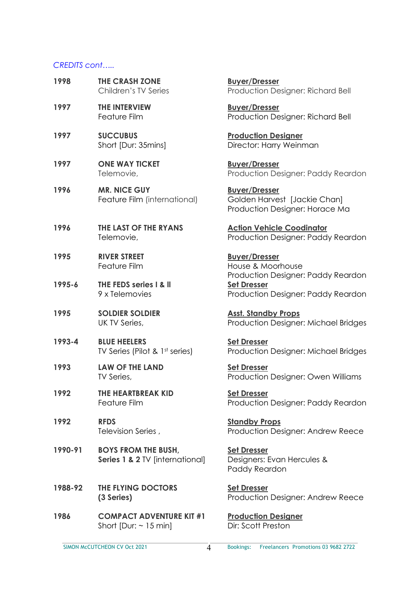### *CREDITS cont…..*

| 1998    | <b>THE CRASH ZONE</b><br>Children's TV Series                 | <b>Buyer/Dresser</b><br>Production Designer: Richard Bell                              |
|---------|---------------------------------------------------------------|----------------------------------------------------------------------------------------|
| 1997    | <b>THE INTERVIEW</b><br>Feature Film                          | <b>Buyer/Dresser</b><br>Production Designer: Richard Bell                              |
| 1997    | <b>SUCCUBUS</b><br>Short [Dur: 35mins]                        | <b>Production Designer</b><br>Director: Harry Weinman                                  |
| 1997    | <b>ONE WAY TICKET</b><br>Telemovie,                           | <b>Buyer/Dresser</b><br>Production Designer: Paddy Reardon                             |
| 1996    | <b>MR. NICE GUY</b><br>Feature Film (international)           | <b>Buyer/Dresser</b><br>Golden Harvest [Jackie Chan]<br>Production Designer: Horace Ma |
| 1996    | THE LAST OF THE RYANS<br>Telemovie,                           | <b>Action Vehicle Coodinator</b><br>Production Designer: Paddy Reardon                 |
| 1995    | <b>RIVER STREET</b><br>Feature Film                           | <b>Buyer/Dresser</b><br>House & Moorhouse<br>Production Designer: Paddy Reardon        |
| 1995-6  | THE FEDS series I & II<br>9 x Telemovies                      | <b>Set Dresser</b><br>Production Designer: Paddy Reardon                               |
| 1995    | <b>SOLDIER SOLDIER</b><br>UK TV Series,                       | <b>Asst. Standby Props</b><br>Production Designer: Michael Bridges                     |
| 1993-4  | <b>BLUE HEELERS</b><br>TV Series (Pilot & 1st series)         | <b>Set Dresser</b><br>Production Designer: Michael Bridges                             |
| 1993    | <b>LAW OF THE LAND</b><br>TV Series,                          | <b>Set Dresser</b><br>Production Designer: Owen Williams                               |
| 1992    | THE HEARTBREAK KID<br>Feature Film                            | <b>Set Dresser</b><br>Production Designer: Paddy Reardon                               |
| 1992    | <b>RFDS</b><br>Television Series,                             | <b>Standby Props</b><br>Production Designer: Andrew Reece                              |
| 1990-91 | <b>BOYS FROM THE BUSH,</b><br>Series 1 & 2 TV [international] | <b>Set Dresser</b><br>Designers: Evan Hercules &<br>Paddy Reardon                      |
| 1988-92 | THE FLYING DOCTORS<br>(3 Series)                              | <b>Set Dresser</b><br>Production Designer: Andrew Reece                                |
| 1986    | <b>COMPACT ADVENTURE KIT #1</b><br>Short [Dur: $\sim$ 15 min] | <b>Production Designer</b><br>Dir: Scott Preston                                       |

 $\overline{4}$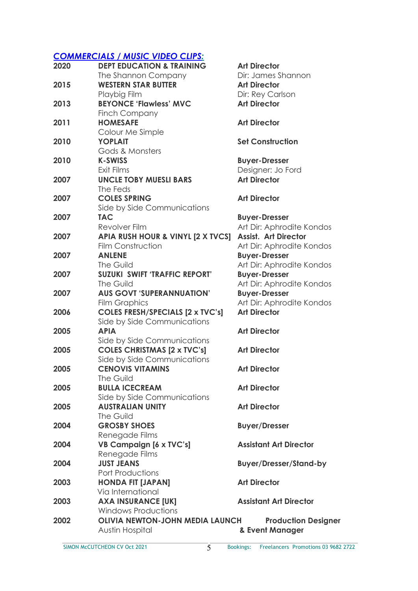## *COMMERCIALS / MUSIC VIDEO CLIPS:*

| 2020 | <b>DEPT EDUCATION &amp; TRAINING</b>    | <b>Art Director</b>           |
|------|-----------------------------------------|-------------------------------|
|      | The Shannon Company                     | Dir: James Shannon            |
| 2015 | <b>WESTERN STAR BUTTER</b>              | <b>Art Director</b>           |
|      | Playbig Film                            | Dir: Rey Carlson              |
| 2013 | <b>BEYONCE 'Flawless' MVC</b>           | <b>Art Director</b>           |
|      | Finch Company                           |                               |
| 2011 | <b>HOMESAFE</b>                         | <b>Art Director</b>           |
|      | Colour Me Simple                        |                               |
| 2010 | <b>YOPLAIT</b>                          | <b>Set Construction</b>       |
|      | Gods & Monsters                         |                               |
| 2010 | <b>K-SWISS</b>                          | <b>Buyer-Dresser</b>          |
|      | Exit Films                              | Designer: Jo Ford             |
| 2007 | <b>UNCLE TOBY MUESLI BARS</b>           | <b>Art Director</b>           |
|      | The Feds                                |                               |
| 2007 | <b>COLES SPRING</b>                     | <b>Art Director</b>           |
|      | Side by Side Communications             |                               |
| 2007 | <b>TAC</b>                              | <b>Buyer-Dresser</b>          |
|      | Revolver Film                           | Art Dir: Aphrodite Kondos     |
| 2007 | APIA RUSH HOUR & VINYL [2 X TVCS]       | <b>Assist. Art Director</b>   |
|      | Film Construction                       | Art Dir: Aphrodite Kondos     |
| 2007 | <b>ANLENE</b>                           | <b>Buyer-Dresser</b>          |
|      | The Guild                               | Art Dir: Aphrodite Kondos     |
| 2007 | <b>SUZUKI SWIFT 'TRAFFIC REPORT'</b>    | <b>Buyer-Dresser</b>          |
|      | The Guild                               | Art Dir: Aphrodite Kondos     |
| 2007 | <b>AUS GOVT 'SUPERANNUATION'</b>        | <b>Buyer-Dresser</b>          |
|      | <b>Film Graphics</b>                    | Art Dir: Aphrodite Kondos     |
| 2006 | <b>COLES FRESH/SPECIALS [2 x TVC's]</b> | <b>Art Director</b>           |
|      | Side by Side Communications             |                               |
| 2005 | <b>APIA</b>                             | <b>Art Director</b>           |
|      | Side by Side Communications             |                               |
| 2005 | <b>COLES CHRISTMAS [2 x TVC's]</b>      | <b>Art Director</b>           |
|      | Side by Side Communications             |                               |
| 2005 | <b>CENOVIS VITAMINS</b>                 | <b>Art Director</b>           |
|      | The Guild                               |                               |
| 2005 | <b>BULLA ICECREAM</b>                   | <b>Art Director</b>           |
|      | Side by Side Communications             |                               |
| 2005 | <b>AUSTRALIAN UNITY</b>                 | <b>Art Director</b>           |
|      | The Guild                               |                               |
| 2004 | <b>GROSBY SHOES</b>                     | <b>Buyer/Dresser</b>          |
|      | Renegade Films                          |                               |
| 2004 | <b>VB Campaign [6 x TVC's]</b>          | <b>Assistant Art Director</b> |
|      | Renegade Films                          |                               |
| 2004 | <b>JUST JEANS</b>                       | <b>Buyer/Dresser/Stand-by</b> |
|      | <b>Port Productions</b>                 |                               |
| 2003 | <b>HONDA FIT [JAPAN]</b>                | <b>Art Director</b>           |
|      | Via International                       |                               |
| 2003 | <b>AXA INSURANCE [UK]</b>               | <b>Assistant Art Director</b> |
|      | <b>Windows Productions</b>              |                               |
| 2002 | <b>OLIVIA NEWTON-JOHN MEDIA LAUNCH</b>  | <b>Production Designer</b>    |
|      | Austin Hospital                         | & Event Manager               |